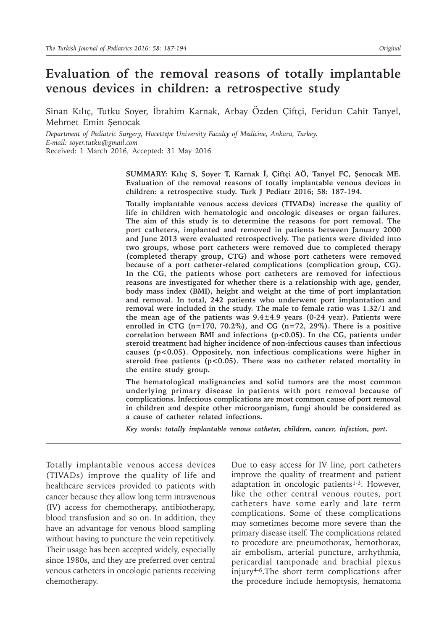# **Evaluation of the removal reasons of totally implantable venous devices in children: a retrospective study**

Sinan Kılıç, Tutku Soyer, İbrahim Karnak, Arbay Özden Çiftçi, Feridun Cahit Tanyel, Mehmet Emin Şenocak

*Department of Pediatric Surgery, Hacettepe University Faculty of Medicine, Ankara, Turkey. E-mail: soyer.tutku@gmail.com* Received: 1 March 2016, Accepted: 31 May 2016

> **SUMMARY: Kılıç S, Soyer T, Karnak İ, Çiftçi AÖ, Tanyel FC, Şenocak ME. Evaluation of the removal reasons of totally implantable venous devices in children: a retrospective study. Turk J Pediatr 2016; 58: 187-194.**

> **Totally implantable venous access devices (TIVADs) increase the quality of life in children with hematologic and oncologic diseases or organ failures. The aim of this study is to determine the reasons for port removal. The port catheters, implanted and removed in patients between January 2000 and June 2013 were evaluated retrospectively. The patients were divided into two groups, whose port catheters were removed due to completed therapy (completed therapy group, CTG) and whose port catheters were removed because of a port catheter-related complications (complication group, CG). In the CG, the patients whose port catheters are removed for infectious reasons are investigated for whether there is a relationship with age, gender, body mass index (BMI), height and weight at the time of port implantation and removal. In total, 242 patients who underwent port implantation and removal were included in the study. The male to female ratio was 1.32/1 and the mean age of the patients was 9.4±4.9 years (0-24 year). Patients were enrolled in CTG (n=170, 70.2%), and CG (n=72, 29%). There is a positive correlation between BMI and infections (p<0.05). In the CG, patients under steroid treatment had higher incidence of non-infectious causes than infectious causes (p<0.05). Oppositely, non infectious complications were higher in steroid free patients (p<0.05). There was no catheter related mortality in the entire study group.**

> **The hematological malignancies and solid tumors are the most common underlying primary disease in patients with port removal because of complications. Infectious complications are most common cause of port removal in children and despite other microorganism, fungi should be considered as a cause of catheter related infections.**

*Key words: totally implantable venous catheter, children, cancer, infection, port.*

Totally implantable venous access devices (TIVADs) improve the quality of life and healthcare services provided to patients with cancer because they allow long term intravenous (IV) access for chemotherapy, antibiotherapy, blood transfusion and so on. In addition, they have an advantage for venous blood sampling without having to puncture the vein repetitively. Their usage has been accepted widely, especially since 1980s, and they are preferred over central venous catheters in oncologic patients receiving chemotherapy.

Due to easy access for IV line, port catheters improve the quality of treatment and patient adaptation in oncologic patients<sup>1-3</sup>. However, like the other central venous routes, port catheters have some early and late term complications. Some of these complications may sometimes become more severe than the primary disease itself. The complications related to procedure are pneumothorax, hemothorax, air embolism, arterial puncture, arrhythmia, pericardial tamponade and brachial plexus injury4-6.The short term complications after the procedure include hemoptysis, hematoma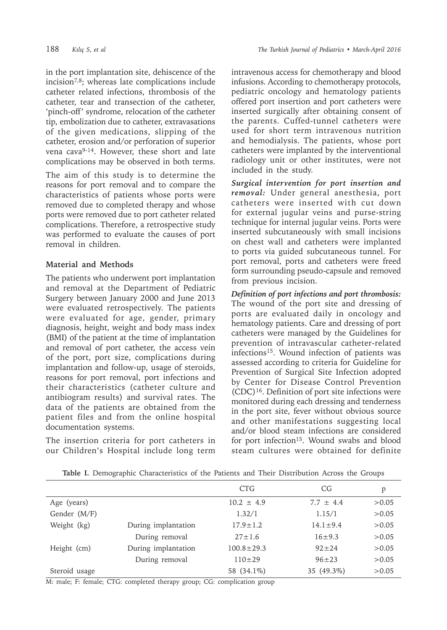in the port implantation site, dehiscence of the incision7,8; whereas late complications include catheter related infections, thrombosis of the catheter, tear and transection of the catheter, 'pinch-off' syndrome, relocation of the catheter tip, embolization due to catheter, extravasations of the given medications, slipping of the catheter, erosion and/or perforation of superior vena cava9-14. However, these short and late complications may be observed in both terms.

The aim of this study is to determine the reasons for port removal and to compare the characteristics of patients whose ports were removed due to completed therapy and whose ports were removed due to port catheter related complications. Therefore, a retrospective study was performed to evaluate the causes of port removal in children.

## **Material and Methods**

The patients who underwent port implantation and removal at the Department of Pediatric Surgery between January 2000 and June 2013 were evaluated retrospectively. The patients were evaluated for age, gender, primary diagnosis, height, weight and body mass index (BMI) of the patient at the time of implantation and removal of port catheter, the access vein of the port, port size, complications during implantation and follow-up, usage of steroids, reasons for port removal, port infections and their characteristics (catheter culture and antibiogram results) and survival rates. The data of the patients are obtained from the patient files and from the online hospital documentation systems.

The insertion criteria for port catheters in our Children's Hospital include long term intravenous access for chemotherapy and blood infusions. According to chemotherapy protocols, pediatric oncology and hematology patients offered port insertion and port catheters were inserted surgically after obtaining consent of the parents. Cuffed-tunnel catheters were used for short term intravenous nutrition and hemodialysis. The patients, whose port catheters were implanted by the interventional radiology unit or other institutes, were not included in the study.

*Surgical intervention for port insertion and removal:* Under general anesthesia, port catheters were inserted with cut down for external jugular veins and purse-string technique for internal jugular veins. Ports were inserted subcutaneously with small incisions on chest wall and catheters were implanted to ports via guided subcutaneous tunnel. For port removal, ports and catheters were freed form surrounding pseudo-capsule and removed from previous incision.

*Definition of port infections and port thrombosis:*  The wound of the port site and dressing of ports are evaluated daily in oncology and hematology patients. Care and dressing of port catheters were managed by the Guidelines for prevention of intravascular catheter-related infections<sup>15</sup>. Wound infection of patients was assessed according to criteria for Guideline for Prevention of Surgical Site Infection adopted by Center for Disease Control Prevention (CDC)16. Definition of port site infections were monitored during each dressing and tenderness in the port site, fever without obvious source and other manifestations suggesting local and/or blood steam infections are considered for port infection<sup>15</sup>. Wound swabs and blood steam cultures were obtained for definite

|               |                     | <b>CTG</b>       | CG             | p      |
|---------------|---------------------|------------------|----------------|--------|
| Age (years)   |                     | $10.2 \pm 4.9$   | $7.7 \pm 4.4$  | >0.05  |
| Gender (M/F)  |                     | 1.32/1           | 1.15/1         | >0.05  |
| Weight (kg)   | During implantation | $17.9 \pm 1.2$   | $14.1 \pm 9.4$ | >0.05  |
|               | During removal      | $27 \pm 1.6$     | $16 + 9.3$     | >0.05  |
| Height (cm)   | During implantation | $100.8 \pm 29.3$ | $92 + 24$      | >0.05  |
|               | During removal      | $110+29$         | $96 + 23$      | >0.05  |
| Steroid usage |                     | 58 (34.1%)       | 35 (49.3%)     | > 0.05 |

**Table I.** Demographic Characteristics of the Patients and Their Distribution Across the Groups

M: male; F: female; CTG: completed therapy group; CG: complication group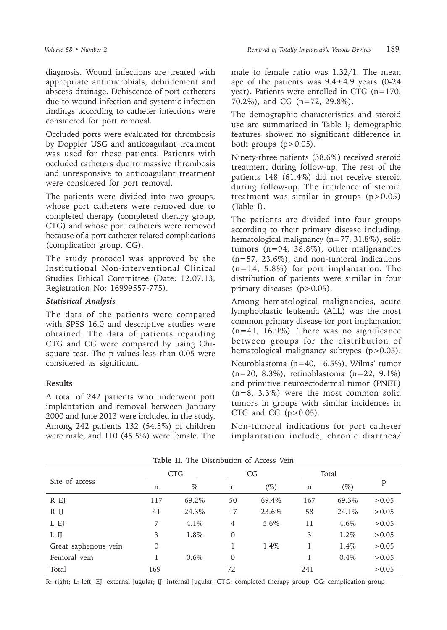diagnosis. Wound infections are treated with appropriate antimicrobials, debridement and abscess drainage. Dehiscence of port catheters due to wound infection and systemic infection findings according to catheter infections were considered for port removal.

Occluded ports were evaluated for thrombosis by Doppler USG and anticoagulant treatment was used for these patients. Patients with occluded catheters due to massive thrombosis and unresponsive to anticoagulant treatment were considered for port removal.

The patients were divided into two groups, whose port catheters were removed due to completed therapy (completed therapy group, CTG) and whose port catheters were removed because of a port catheter related complications (complication group, CG).

The study protocol was approved by the Institutional Non-interventional Clinical Studies Ethical Committee (Date: 12.07.13, Registration No: 16999557-775).

### *Statistical Analysis*

The data of the patients were compared with SPSS 16.0 and descriptive studies were obtained. The data of patients regarding CTG and CG were compared by using Chisquare test. The p values less than 0.05 were considered as significant.

### **Results**

A total of 242 patients who underwent port implantation and removal between January 2000 and June 2013 were included in the study. Among 242 patients 132 (54.5%) of children were male, and 110 (45.5%) were female. The

male to female ratio was 1.32/1. The mean age of the patients was  $9.4 \pm 4.9$  years (0-24 year). Patients were enrolled in CTG (n=170, 70.2%), and CG (n=72, 29.8%).

The demographic characteristics and steroid use are summarized in Table I; demographic features showed no significant difference in both groups  $(p>0.05)$ .

Ninety-three patients (38.6%) received steroid treatment during follow-up. The rest of the patients 148 (61.4%) did not receive steroid during follow-up. The incidence of steroid treatment was similar in groups  $(p>0.05)$ (Table I).

The patients are divided into four groups according to their primary disease including: hematological malignancy (n=77, 31.8%), solid tumors (n=94, 38.8%), other malignancies (n=57, 23.6%), and non-tumoral indications  $(n=14, 5.8\%)$  for port implantation. The distribution of patients were similar in four primary diseases (p>0.05).

Among hematological malignancies, acute lymphoblastic leukemia (ALL) was the most common primary disease for port implantation  $(n=41, 16.9\%)$ . There was no significance between groups for the distribution of hematological malignancy subtypes (p>0.05).

Neuroblastoma (n=40, 16.5%), Wilms' tumor (n=20, 8.3%), retinoblastoma (n=22, 9.1%) and primitive neuroectodermal tumor (PNET) (n=8, 3.3%) were the most common solid tumors in groups with similar incidences in CTG and CG  $(p>0.05)$ .

Non-tumoral indications for port catheter implantation include, chronic diarrhea/

| <b>CTG</b>  |         | CG             |        | Total |        |       |  |  |
|-------------|---------|----------------|--------|-------|--------|-------|--|--|
| n           | $\%$    | n              | $(\%)$ | n     | $(\%)$ | p     |  |  |
| 117         | 69.2%   | 50             | 69.4%  | 167   | 69.3%  | >0.05 |  |  |
| 41          | 24.3%   | 17             | 23.6%  | 58    | 24.1\% | >0.05 |  |  |
| 7           | $4.1\%$ | $\overline{4}$ | 5.6%   | 11    | 4.6%   | >0.05 |  |  |
| 3           | 1.8%    | 0              |        | 3     | 1.2%   | >0.05 |  |  |
| $\mathbf 0$ |         |                | 1.4%   |       | 1.4%   | >0.05 |  |  |
|             | $0.6\%$ | 0              |        |       | 0.4%   | >0.05 |  |  |
| 169         |         | 72             |        | 241   |        | >0.05 |  |  |
|             |         |                |        |       |        |       |  |  |

**Table II.** The Distribution of Access Vein

R: right; L: left; EJ: external jugular; IJ: internal jugular; CTG: completed therapy group; CG: complication group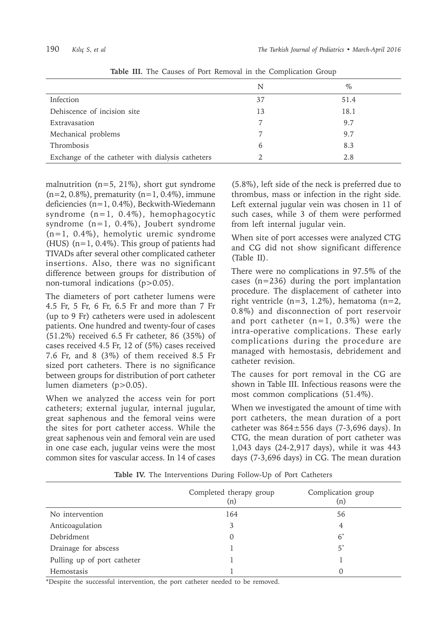|                                                  | N             | $\%$ |
|--------------------------------------------------|---------------|------|
| Infection                                        | 37            | 51.4 |
| Dehiscence of incision site                      | 13            | 18.1 |
| Extravasation                                    |               | 9.7  |
| Mechanical problems                              |               | 9.7  |
| Thrombosis                                       | $\mathfrak b$ | 8.3  |
| Exchange of the catheter with dialysis catheters |               | 2.8  |

**Table III.** The Causes of Port Removal in the Complication Group

malnutrition ( $n=5$ , 21%), short gut syndrome  $(n=2, 0.8\%)$ , prematurity  $(n=1, 0.4\%)$ , immune deficiencies (n=1, 0.4%), Beckwith-Wiedemann syndrome (n=1, 0.4%), hemophagocytic syndrome  $(n=1, 0.4\%)$ , Joubert syndrome (n=1, 0.4%), hemolytic uremic syndrome (HUS) (n=1, 0.4%). This group of patients had TIVADs after several other complicated catheter insertions. Also, there was no significant difference between groups for distribution of non-tumoral indications (p>0.05).

The diameters of port catheter lumens were 4.5 Fr, 5 Fr, 6 Fr, 6.5 Fr and more than 7 Fr (up to 9 Fr) catheters were used in adolescent patients. One hundred and twenty-four of cases (51.2%) received 6.5 Fr catheter, 86 (35%) of cases received 4.5 Fr, 12 of (5%) cases received 7.6 Fr, and 8 (3%) of them received 8.5 Fr sized port catheters. There is no significance between groups for distribution of port catheter lumen diameters (p>0.05).

When we analyzed the access vein for port catheters; external jugular, internal jugular, great saphenous and the femoral veins were the sites for port catheter access. While the great saphenous vein and femoral vein are used in one case each, jugular veins were the most common sites for vascular access. In 14 of cases

(5.8%), left side of the neck is preferred due to thrombus, mass or infection in the right side. Left external jugular vein was chosen in 11 of such cases, while 3 of them were performed from left internal jugular vein.

When site of port accesses were analyzed CTG and CG did not show significant difference (Table II).

There were no complications in 97.5% of the cases (n=236) during the port implantation procedure. The displacement of catheter into right ventricle (n=3, 1.2%), hematoma (n=2, 0.8%) and disconnection of port reservoir and port catheter  $(n=1, 0.3\%)$  were the intra-operative complications. These early complications during the procedure are managed with hemostasis, debridement and catheter revision.

The causes for port removal in the CG are shown in Table III. Infectious reasons were the most common complications (51.4%).

When we investigated the amount of time with port catheters, the mean duration of a port catheter was  $864 \pm 556$  days (7-3,696 days). In CTG, the mean duration of port catheter was 1,043 days (24-2,917 days), while it was 443 days (7-3,696 days) in CG. The mean duration

|                             | Completed therapy group<br>(n) | Complication group<br>(n) |
|-----------------------------|--------------------------------|---------------------------|
| No intervention             | 164                            | 56                        |
| Anticoagulation             | 3                              | 4                         |
| Debridment                  | 0                              | $6^*$                     |
| Drainage for abscess        |                                | 5*                        |
| Pulling up of port catheter |                                |                           |
| Hemostasis                  |                                |                           |

**Table IV.** The Interventions During Follow-Up of Port Catheters

\*Despite the successful intervention, the port catheter needed to be removed.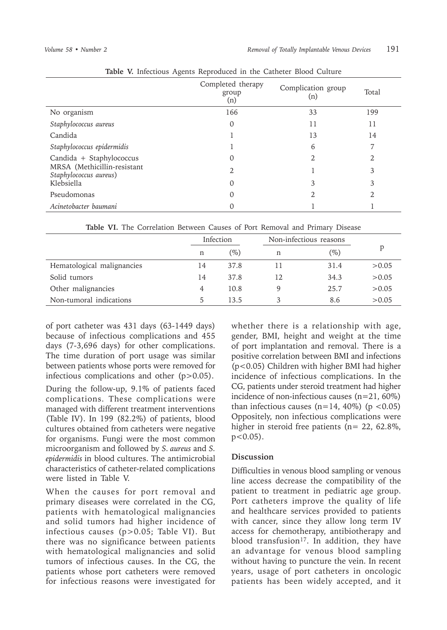|                                                       | Completed therapy<br>group<br>(n) | Complication group<br>(n) | Total |
|-------------------------------------------------------|-----------------------------------|---------------------------|-------|
| No organism                                           | 166                               | 33                        | 199   |
| Staphylococcus aureus                                 | 0                                 | 11                        | 11    |
| Candida                                               |                                   | 13                        | 14    |
| Staphylococcus epidermidis                            |                                   | 6                         |       |
| Candida + Staphylococcus                              | 0                                 | 2.                        | 2     |
| MRSA (Methicillin-resistant<br>Staphylococcus aureus) | 2                                 |                           | 3     |
| Klebsiella                                            | 0                                 | 3                         | 3     |
| Pseudomonas                                           | $\Omega$                          | 2.                        |       |
| Acinetobacter baumani                                 |                                   |                           |       |

|  |  | Table V. Infectious Agents Reproduced in the Catheter Blood Culture |  |  |  |
|--|--|---------------------------------------------------------------------|--|--|--|
|  |  |                                                                     |  |  |  |

**Table VI.** The Correlation Between Causes of Port Removal and Primary Disease

|                            | Infection |        |    | Non-infectious reasons |        |
|----------------------------|-----------|--------|----|------------------------|--------|
|                            | n         | $(\%)$ | n  | $(\%)$                 |        |
| Hematological malignancies | 14        | 37.8   |    | 31.4                   | >0.05  |
| Solid tumors               | 14        | 37.8   | 12 | 34.3                   | >0.05  |
| Other malignancies         | 4         | 10.8   |    | 2.5.7                  | > 0.05 |
| Non-tumoral indications    | 5         | 13.5   | 3  | 8.6                    | >0.05  |

of port catheter was 431 days (63-1449 days) because of infectious complications and 455 days (7-3,696 days) for other complications. The time duration of port usage was similar between patients whose ports were removed for infectious complications and other (p>0.05).

During the follow-up, 9.1% of patients faced complications. These complications were managed with different treatment interventions (Table IV). In 199 (82.2%) of patients, blood cultures obtained from catheters were negative for organisms. Fungi were the most common microorganism and followed by *S. aureus* and *S. epidermidis* in blood cultures. The antimicrobial characteristics of catheter-related complications were listed in Table V.

When the causes for port removal and primary diseases were correlated in the CG, patients with hematological malignancies and solid tumors had higher incidence of infectious causes (p>0.05; Table VI). But there was no significance between patients with hematological malignancies and solid tumors of infectious causes. In the CG, the patients whose port catheters were removed for infectious reasons were investigated for

whether there is a relationship with age, gender, BMI, height and weight at the time of port implantation and removal. There is a positive correlation between BMI and infections (p<0.05) Children with higher BMI had higher incidence of infectious complications. In the CG, patients under steroid treatment had higher incidence of non-infectious causes (n=21, 60%) than infectious causes  $(n=14, 40\%)$  (p <0.05) Oppositely, non infectious complications were higher in steroid free patients (n= 22, 62.8%,  $p < 0.05$ ).

### **Discussion**

Difficulties in venous blood sampling or venous line access decrease the compatibility of the patient to treatment in pediatric age group. Port catheters improve the quality of life and healthcare services provided to patients with cancer, since they allow long term IV access for chemotherapy, antibiotherapy and blood transfusion<sup>17</sup>. In addition, they have an advantage for venous blood sampling without having to puncture the vein. In recent years, usage of port catheters in oncologic patients has been widely accepted, and it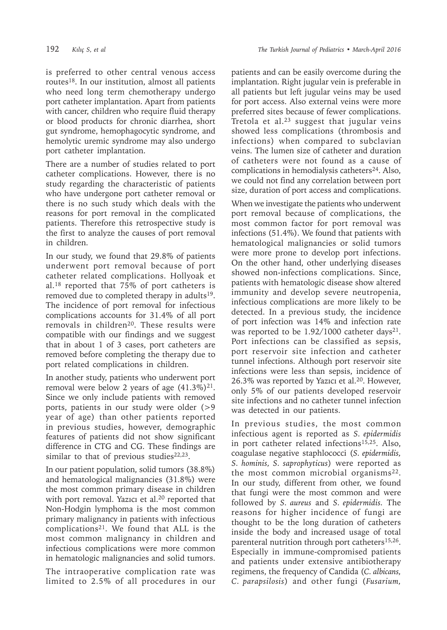is preferred to other central venous access routes18. In our institution, almost all patients who need long term chemotherapy undergo port catheter implantation. Apart from patients with cancer, children who require fluid therapy or blood products for chronic diarrhea, short gut syndrome, hemophagocytic syndrome, and hemolytic uremic syndrome may also undergo port catheter implantation.

There are a number of studies related to port catheter complications. However, there is no study regarding the characteristic of patients who have undergone port catheter removal or there is no such study which deals with the reasons for port removal in the complicated patients. Therefore this retrospective study is the first to analyze the causes of port removal in children.

In our study, we found that 29.8% of patients underwent port removal because of port catheter related complications. Hollyoak et al.18 reported that 75% of port catheters is removed due to completed therapy in adults<sup>19</sup>. The incidence of port removal for infectious complications accounts for 31.4% of all port removals in children<sup>20</sup>. These results were compatible with our findings and we suggest that in about 1 of 3 cases, port catheters are removed before completing the therapy due to port related complications in children.

In another study, patients who underwent port removal were below 2 years of age  $(41.3\%)^{21}$ . Since we only include patients with removed ports, patients in our study were older (>9 year of age) than other patients reported in previous studies, however, demographic features of patients did not show significant difference in CTG and CG. These findings are similar to that of previous studies<sup>22,23</sup>.

In our patient population, solid tumors (38.8%) and hematological malignancies (31.8%) were the most common primary disease in children with port removal. Yazıcı et al.<sup>20</sup> reported that Non-Hodgin lymphoma is the most common primary malignancy in patients with infectious complications21. We found that ALL is the most common malignancy in children and infectious complications were more common in hematologic malignancies and solid tumors.

The intraoperative complication rate was limited to 2.5% of all procedures in our

patients and can be easily overcome during the implantation. Right jugular vein is preferable in all patients but left jugular veins may be used for port access. Also external veins were more preferred sites because of fewer complications. Tretola et al. $23$  suggest that jugular veins showed less complications (thrombosis and infections) when compared to subclavian veins. The lumen size of catheter and duration of catheters were not found as a cause of complications in hemodialysis catheters<sup>24</sup>. Also, we could not find any correlation between port size, duration of port access and complications.

When we investigate the patients who underwent port removal because of complications, the most common factor for port removal was infections (51.4%). We found that patients with hematological malignancies or solid tumors were more prone to develop port infections. On the other hand, other underlying diseases showed non-infections complications. Since, patients with hematologic disease show altered immunity and develop severe neutropenia, infectious complications are more likely to be detected. In a previous study, the incidence of port infection was 14% and infection rate was reported to be  $1.92/1000$  catheter days<sup>21</sup>. Port infections can be classified as sepsis, port reservoir site infection and catheter tunnel infections. Although port reservoir site infections were less than sepsis, incidence of 26.3% was reported by Yazıcı et al.20. However, only 5% of our patients developed reservoir site infections and no catheter tunnel infection was detected in our patients.

In previous studies, the most common infectious agent is reported as *S. epidermidis* in port catheter related infections<sup>15,25</sup>. Also, coagulase negative staphlococci (*S. epidermidis, S. hominis, S. saprophyticus*) were reported as the most common microbial organisms $^{22}$ . In our study, different from other, we found that fungi were the most common and were followed by *S. aureus* and *S. epidermidis.* The reasons for higher incidence of fungi are thought to be the long duration of catheters inside the body and increased usage of total parenteral nutrition through port catheters<sup>15,26</sup>. Especially in immune-compromised patients and patients under extensive antibiotherapy regimens, the frequency of Candida (*C. albicans, C. parapsilosis*) and other fungi (*Fusarium,*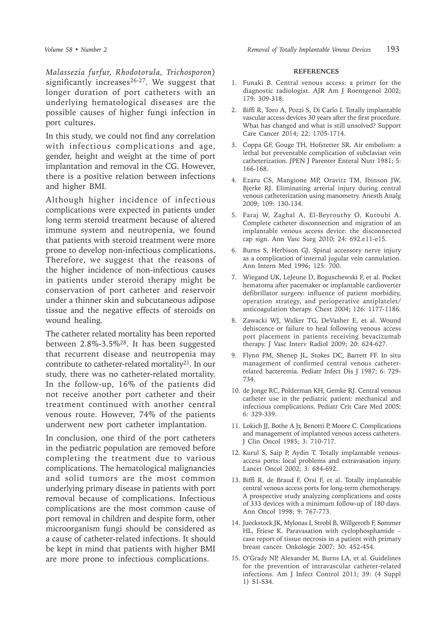*Malassezia furfur, Rhodotorula, Trichosporon*) significantly increases $26-27$ . We suggest that longer duration of port catheters with an underlying hematological diseases are the possible causes of higher fungi infection in port cultures.

In this study, we could not find any correlation with infectious complications and age, gender, height and weight at the time of port implantation and removal in the CG. However, there is a positive relation between infections and higher BMI.

Although higher incidence of infectious complications were expected in patients under long term steroid treatment because of altered immune system and neutropenia, we found that patients with steroid treatment were more prone to develop non-infectious complications. Therefore, we suggest that the reasons of the higher incidence of non-infectious causes in patients under steroid therapy might be conservation of port catheter and reservoir under a thinner skin and subcutaneous adipose tissue and the negative effects of steroids on wound healing.

The catheter related mortality has been reported between 2.8%-3.5%28. It has been suggested that recurrent disease and neutropenia may contribute to catheter-related mortality<sup>21</sup>. In our study, there was no catheter-related mortality. In the follow-up, 16% of the patients did not receive another port catheter and their treatment continued with another central venous route. However, 74% of the patients underwent new port catheter implantation.

In conclusion, one third of the port catheters in the pediatric population are removed before completing the treatment due to various complications. The hematological malignancies and solid tumors are the most common underlying primary disease in patients with port removal because of complications. Infectious complications are the most common cause of port removal in children and despite form, other microorganism fungi should be considered as a cause of catheter-related infections. It should be kept in mind that patients with higher BMI are more prone to infectious complications.

#### **REFERENCES**

- 1. Funaki B. Central venous access: a primer for the diagnostic radiologist. AJR Am J Roentgenol 2002; 179: 309-318.
- 2. Biffi R, Toro A, Pozzi S, Di Carlo I. Totally implantable vascular access devices 30 years after the first procedure. What has changed and what is still unsolved? Support Care Cancer 2014; 22: 1705-1714.
- 3. Coppa GF, Gouge TH, Hofstetter SR. Air embolism: a lethal but preventable complication of subclavian vein catheterization. JPEN J Parenter Enteral Nutr 1981; 5: 166-168.
- 4. Ezaru CS, Mangione MP, Oravitz TM, Ibinson JW, Bjerke RJ. Eliminating arterial injury during central venous catheterization using manometry. Anesth Analg 2009; 109: 130-134.
- 5. Faraj W, Zaghal A, El-Beyrouthy O, Kutoubi A. Complete catheter disconnection and migration of an implantable venous access device: the disconnected cap sign. Ann Vasc Surg 2010; 24: 692.e11-e15.
- 6. Burns S, Herbison GJ. Spinal accessory nerve injury as a complication of internal jugular vein cannulation. Ann Intern Med 1996; 125: 700.
- 7. Wiegand UK, LeJeune D, Boguschewski F, et al. Pocket hematoma after pacemaker or implantable cardioverter defibrillator surgery: influence of patient morbidity, operation strategy, and perioperative antiplatelet/ anticoagulation therapy. Chest 2004; 126: 1177-1186.
- 8. Zawacki WJ, Walker TG, DeVasher E, et al. Wound dehiscence or failure to heal following venous access port placement in patients receiving bevacizumab therapy. J Vasc Interv Radiol 2009; 20: 624-627.
- 9. Flynn PM, Shenep JL, Stokes DC, Barrett FF. In situ management of confirmed central venous catheterrelated bacteremia. Pediatr Infect Dis J 1987; 6: 729- 734.
- 10. de Jonge RC, Polderman KH, Gemke RJ. Central venous catheter use in the pediatric patient: mechanical and infectious complications. Pediatr Crit Care Med 2005; 6: 329-339.
- 11. Lokich JJ, Bothe A Jr, Benotti P, Moore C. Complications and management of implanted venous access catheters. J Clin Oncol 1985; 3: 710-717.
- 12. Kurul S, Saip P, Aydin T. Totally implantable venousaccess ports: local problems and extravasation injury. Lancet Oncol 2002; 3: 684-692.
- 13. Biffi R, de Braud F, Orsi F, et al. Totally implantable central venous access ports for long-term chemotherapy. A prospective study analyzing complications and costs of 333 devices with a minimum follow-up of 180 days. Ann Oncol 1998; 9: 767-773.
- 14. Jueckstock JK, Mylonas I, Strobl B, Willgeroth F, Sommer HL, Friese K. Paravasation with cyclophosphamide – case report of tissue necrosis in a patient with primary breast cancer. Onkologie 2007; 30: 452-454.
- 15. O'Grady NP, Alexander M, Burns LA, et al. Guidelines for the prevention of intravascular catheter-related infections. Am J Infect Control 2011; 39: (4 Suppl 1) S1-S34.